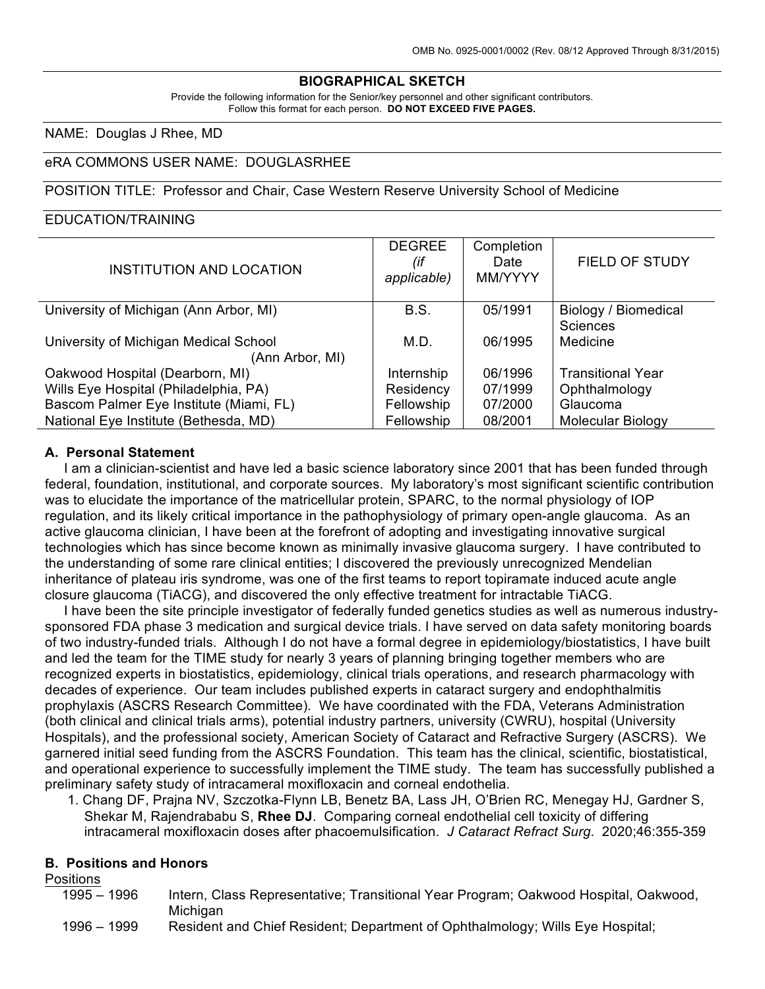## **BIOGRAPHICAL SKETCH**

Provide the following information for the Senior/key personnel and other significant contributors. Follow this format for each person. **DO NOT EXCEED FIVE PAGES.**

NAME: Douglas J Rhee, MD

### eRA COMMONS USER NAME: DOUGLASRHEE

#### POSITION TITLE: Professor and Chair, Case Western Reserve University School of Medicine

### EDUCATION/TRAINING

| INSTITUTION AND LOCATION                                 | <b>DEGREE</b><br>(if<br>applicable) | Completion<br>Date<br>MM/YYYY | <b>FIELD OF STUDY</b>                   |
|----------------------------------------------------------|-------------------------------------|-------------------------------|-----------------------------------------|
| University of Michigan (Ann Arbor, MI)                   | <b>B.S.</b>                         | 05/1991                       | Biology / Biomedical<br><b>Sciences</b> |
| University of Michigan Medical School<br>(Ann Arbor, MI) | M.D.                                | 06/1995                       | Medicine                                |
| Oakwood Hospital (Dearborn, MI)                          | Internship                          | 06/1996                       | <b>Transitional Year</b>                |
| Wills Eye Hospital (Philadelphia, PA)                    | Residency                           | 07/1999                       | Ophthalmology                           |
| Bascom Palmer Eye Institute (Miami, FL)                  | Fellowship                          | 07/2000                       | Glaucoma                                |
| National Eye Institute (Bethesda, MD)                    | Fellowship                          | 08/2001                       | Molecular Biology                       |

### **A. Personal Statement**

 I am a clinician-scientist and have led a basic science laboratory since 2001 that has been funded through federal, foundation, institutional, and corporate sources. My laboratory's most significant scientific contribution was to elucidate the importance of the matricellular protein, SPARC, to the normal physiology of IOP regulation, and its likely critical importance in the pathophysiology of primary open-angle glaucoma. As an active glaucoma clinician, I have been at the forefront of adopting and investigating innovative surgical technologies which has since become known as minimally invasive glaucoma surgery. I have contributed to the understanding of some rare clinical entities; I discovered the previously unrecognized Mendelian inheritance of plateau iris syndrome, was one of the first teams to report topiramate induced acute angle closure glaucoma (TiACG), and discovered the only effective treatment for intractable TiACG.

 I have been the site principle investigator of federally funded genetics studies as well as numerous industrysponsored FDA phase 3 medication and surgical device trials. I have served on data safety monitoring boards of two industry-funded trials. Although I do not have a formal degree in epidemiology/biostatistics, I have built and led the team for the TIME study for nearly 3 years of planning bringing together members who are recognized experts in biostatistics, epidemiology, clinical trials operations, and research pharmacology with decades of experience. Our team includes published experts in cataract surgery and endophthalmitis prophylaxis (ASCRS Research Committee). We have coordinated with the FDA, Veterans Administration (both clinical and clinical trials arms), potential industry partners, university (CWRU), hospital (University Hospitals), and the professional society, American Society of Cataract and Refractive Surgery (ASCRS). We garnered initial seed funding from the ASCRS Foundation. This team has the clinical, scientific, biostatistical, and operational experience to successfully implement the TIME study. The team has successfully published a preliminary safety study of intracameral moxifloxacin and corneal endothelia.

1. Chang DF, Prajna NV, Szczotka-Flynn LB, Benetz BA, Lass JH, O'Brien RC, Menegay HJ, Gardner S, Shekar M, Rajendrababu S, **Rhee DJ**. Comparing corneal endothelial cell toxicity of differing intracameral moxifloxacin doses after phacoemulsification. *J Cataract Refract Surg*. 2020;46:355-359

#### **B. Positions and Honors**

#### Positions

| $1995 - 1996$ | Intern, Class Representative; Transitional Year Program; Oakwood Hospital, Oakwood, |
|---------------|-------------------------------------------------------------------------------------|
|               | Michigan                                                                            |

1996 – 1999 Resident and Chief Resident; Department of Ophthalmology; Wills Eye Hospital;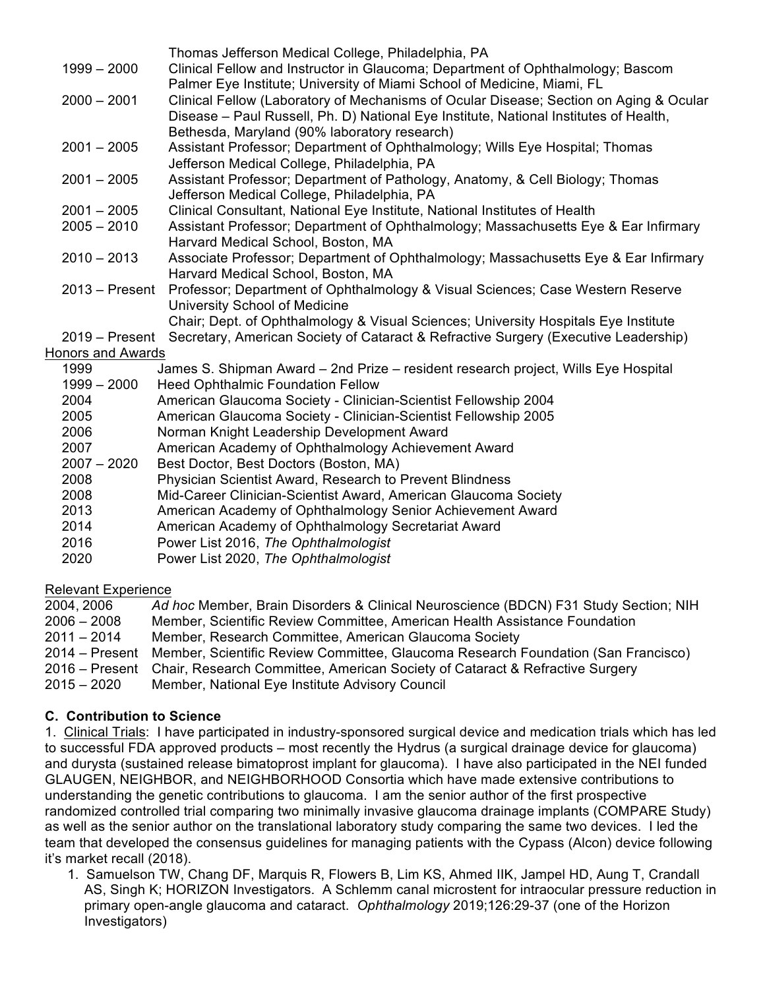|                          | Thomas Jefferson Medical College, Philadelphia, PA                                     |
|--------------------------|----------------------------------------------------------------------------------------|
| $1999 - 2000$            | Clinical Fellow and Instructor in Glaucoma; Department of Ophthalmology; Bascom        |
|                          | Palmer Eye Institute; University of Miami School of Medicine, Miami, FL                |
| $2000 - 2001$            | Clinical Fellow (Laboratory of Mechanisms of Ocular Disease; Section on Aging & Ocular |
|                          | Disease - Paul Russell, Ph. D) National Eye Institute, National Institutes of Health,  |
|                          | Bethesda, Maryland (90% laboratory research)                                           |
| $2001 - 2005$            | Assistant Professor; Department of Ophthalmology; Wills Eye Hospital; Thomas           |
|                          | Jefferson Medical College, Philadelphia, PA                                            |
| $2001 - 2005$            | Assistant Professor; Department of Pathology, Anatomy, & Cell Biology; Thomas          |
|                          | Jefferson Medical College, Philadelphia, PA                                            |
| $2001 - 2005$            | Clinical Consultant, National Eye Institute, National Institutes of Health             |
| $2005 - 2010$            | Assistant Professor; Department of Ophthalmology; Massachusetts Eye & Ear Infirmary    |
|                          | Harvard Medical School, Boston, MA                                                     |
| $2010 - 2013$            | Associate Professor; Department of Ophthalmology; Massachusetts Eye & Ear Infirmary    |
|                          | Harvard Medical School, Boston, MA                                                     |
| $2013 -$ Present         | Professor; Department of Ophthalmology & Visual Sciences; Case Western Reserve         |
|                          | University School of Medicine                                                          |
|                          | Chair; Dept. of Ophthalmology & Visual Sciences; University Hospitals Eye Institute    |
| $2019 -$ Present         | Secretary, American Society of Cataract & Refractive Surgery (Executive Leadership)    |
| <b>Honors and Awards</b> |                                                                                        |
| 1999                     | James S. Shipman Award - 2nd Prize - resident research project, Wills Eye Hospital     |
| $1999 - 2000$            | <b>Heed Ophthalmic Foundation Fellow</b>                                               |
| 2004                     | American Glaucoma Society - Clinician-Scientist Fellowship 2004                        |
| 2005                     | American Glaucoma Society - Clinician-Scientist Fellowship 2005                        |
| 2006                     | Norman Knight Leadership Development Award                                             |
| 2007                     | American Academy of Ophthalmology Achievement Award                                    |
| $2007 - 2020$            | Best Doctor, Best Doctors (Boston, MA)                                                 |
| 2008                     | Physician Scientist Award, Research to Prevent Blindness                               |
| 2008                     | Mid-Career Clinician-Scientist Award, American Glaucoma Society                        |
| 2013                     | American Academy of Ophthalmology Senior Achievement Award                             |
| 2014                     | American Academy of Ophthalmology Secretariat Award                                    |
| 2016                     | Power List 2016, The Ophthalmologist                                                   |

2020 Power List 2020, *The Ophthalmologist*

# Relevant Experience

2004, 2006 *Ad hoc* Member, Brain Disorders & Clinical Neuroscience (BDCN) F31 Study Section; NIH 2006 – 2008 Member, Scientific Review Committee, American Health Assistance Foundation 2011 – 2014 Member, Research Committee, American Glaucoma Society 2014 – Present Member, Scientific Review Committee, Glaucoma Research Foundation (San Francisco) 2016 – Present Chair, Research Committee, American Society of Cataract & Refractive Surgery 2015 – 2020 Member, National Eye Institute Advisory Council

# **C. Contribution to Science**

1. Clinical Trials: I have participated in industry-sponsored surgical device and medication trials which has led to successful FDA approved products – most recently the Hydrus (a surgical drainage device for glaucoma) and durysta (sustained release bimatoprost implant for glaucoma). I have also participated in the NEI funded GLAUGEN, NEIGHBOR, and NEIGHBORHOOD Consortia which have made extensive contributions to understanding the genetic contributions to glaucoma. I am the senior author of the first prospective randomized controlled trial comparing two minimally invasive glaucoma drainage implants (COMPARE Study) as well as the senior author on the translational laboratory study comparing the same two devices. I led the team that developed the consensus guidelines for managing patients with the Cypass (Alcon) device following it's market recall (2018).

1. Samuelson TW, Chang DF, Marquis R, Flowers B, Lim KS, Ahmed IIK, Jampel HD, Aung T, Crandall AS, Singh K; HORIZON Investigators. A Schlemm canal microstent for intraocular pressure reduction in primary open-angle glaucoma and cataract. *Ophthalmology* 2019;126:29-37 (one of the Horizon Investigators)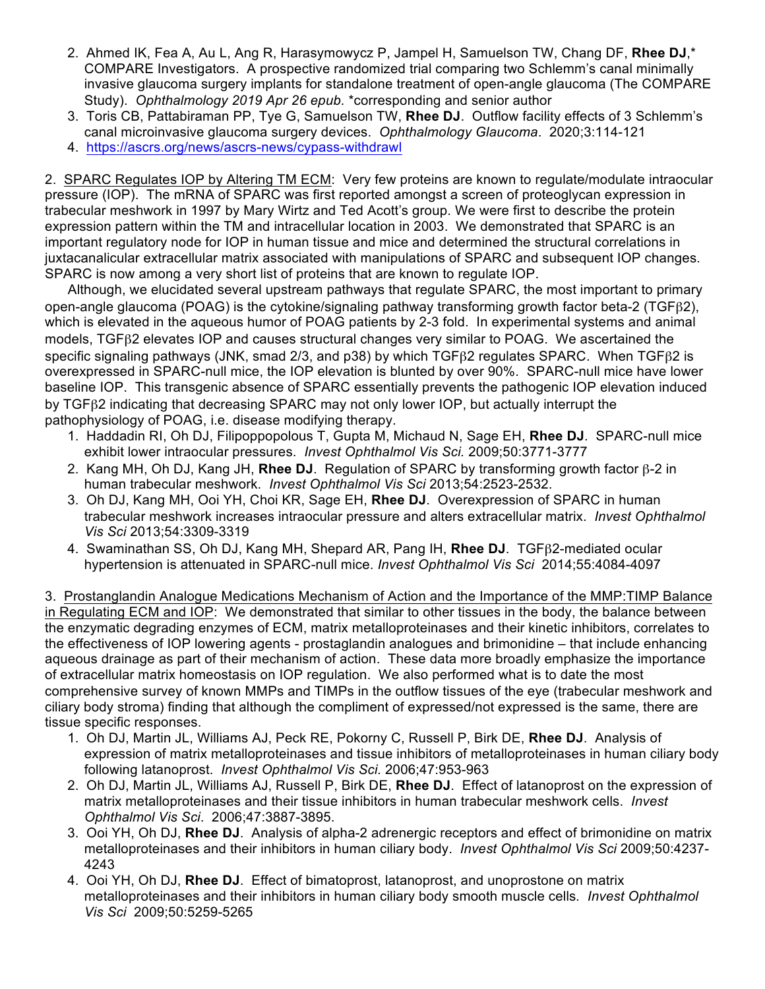- 2. Ahmed IK, Fea A, Au L, Ang R, Harasymowycz P, Jampel H, Samuelson TW, Chang DF, **Rhee DJ**,\* COMPARE Investigators. A prospective randomized trial comparing two Schlemm's canal minimally invasive glaucoma surgery implants for standalone treatment of open-angle glaucoma (The COMPARE Study). *Ophthalmology 2019 Apr 26 epub.* \*corresponding and senior author
- 3. Toris CB, Pattabiraman PP, Tye G, Samuelson TW, **Rhee DJ**. Outflow facility effects of 3 Schlemm's canal microinvasive glaucoma surgery devices. *Ophthalmology Glaucoma*. 2020;3:114-121
- 4. https://ascrs.org/news/ascrs-news/cypass-withdrawl

2. SPARC Regulates IOP by Altering TM ECM: Very few proteins are known to regulate/modulate intraocular pressure (IOP). The mRNA of SPARC was first reported amongst a screen of proteoglycan expression in trabecular meshwork in 1997 by Mary Wirtz and Ted Acott's group. We were first to describe the protein expression pattern within the TM and intracellular location in 2003. We demonstrated that SPARC is an important regulatory node for IOP in human tissue and mice and determined the structural correlations in juxtacanalicular extracellular matrix associated with manipulations of SPARC and subsequent IOP changes. SPARC is now among a very short list of proteins that are known to regulate IOP.

 Although, we elucidated several upstream pathways that regulate SPARC, the most important to primary open-angle glaucoma (POAG) is the cytokine/signaling pathway transforming growth factor beta-2 (TGFβ2), which is elevated in the aqueous humor of POAG patients by 2-3 fold. In experimental systems and animal models, TGFβ2 elevates IOP and causes structural changes very similar to POAG. We ascertained the specific signaling pathways (JNK, smad 2/3, and p38) by which TGFβ2 regulates SPARC. When TGFβ2 is overexpressed in SPARC-null mice, the IOP elevation is blunted by over 90%. SPARC-null mice have lower baseline IOP. This transgenic absence of SPARC essentially prevents the pathogenic IOP elevation induced by TGFβ2 indicating that decreasing SPARC may not only lower IOP, but actually interrupt the pathophysiology of POAG, i.e. disease modifying therapy.

- 1. Haddadin RI, Oh DJ, Filipoppopolous T, Gupta M, Michaud N, Sage EH, **Rhee DJ**. SPARC-null mice exhibit lower intraocular pressures. *Invest Ophthalmol Vis Sci.* 2009;50:3771-3777
- 2. Kang MH, Oh DJ, Kang JH, **Rhee DJ**. Regulation of SPARC by transforming growth factor β-2 in human trabecular meshwork. *Invest Ophthalmol Vis Sci* 2013;54:2523-2532.
- 3. Oh DJ, Kang MH, Ooi YH, Choi KR, Sage EH, **Rhee DJ**. Overexpression of SPARC in human trabecular meshwork increases intraocular pressure and alters extracellular matrix. *Invest Ophthalmol Vis Sci* 2013;54:3309-3319
- 4. Swaminathan SS, Oh DJ, Kang MH, Shepard AR, Pang IH, **Rhee DJ**. TGFβ2-mediated ocular hypertension is attenuated in SPARC-null mice. *Invest Ophthalmol Vis Sci* 2014;55:4084-4097

3. Prostanglandin Analogue Medications Mechanism of Action and the Importance of the MMP:TIMP Balance in Regulating ECM and IOP: We demonstrated that similar to other tissues in the body, the balance between the enzymatic degrading enzymes of ECM, matrix metalloproteinases and their kinetic inhibitors, correlates to the effectiveness of IOP lowering agents - prostaglandin analogues and brimonidine – that include enhancing aqueous drainage as part of their mechanism of action. These data more broadly emphasize the importance of extracellular matrix homeostasis on IOP regulation. We also performed what is to date the most comprehensive survey of known MMPs and TIMPs in the outflow tissues of the eye (trabecular meshwork and ciliary body stroma) finding that although the compliment of expressed/not expressed is the same, there are tissue specific responses.

- 1. Oh DJ, Martin JL, Williams AJ, Peck RE, Pokorny C, Russell P, Birk DE, **Rhee DJ**. Analysis of expression of matrix metalloproteinases and tissue inhibitors of metalloproteinases in human ciliary body following latanoprost. *Invest Ophthalmol Vis Sci.* 2006;47:953-963
- 2. Oh DJ, Martin JL, Williams AJ, Russell P, Birk DE, **Rhee DJ**. Effect of latanoprost on the expression of matrix metalloproteinases and their tissue inhibitors in human trabecular meshwork cells. *Invest Ophthalmol Vis Sci*. 2006;47:3887-3895.
- 3. Ooi YH, Oh DJ, **Rhee DJ**. Analysis of alpha-2 adrenergic receptors and effect of brimonidine on matrix metalloproteinases and their inhibitors in human ciliary body. *Invest Ophthalmol Vis Sci* 2009;50:4237- 4243
- 4. Ooi YH, Oh DJ, **Rhee DJ**. Effect of bimatoprost, latanoprost, and unoprostone on matrix metalloproteinases and their inhibitors in human ciliary body smooth muscle cells*. Invest Ophthalmol Vis Sci* 2009;50:5259-5265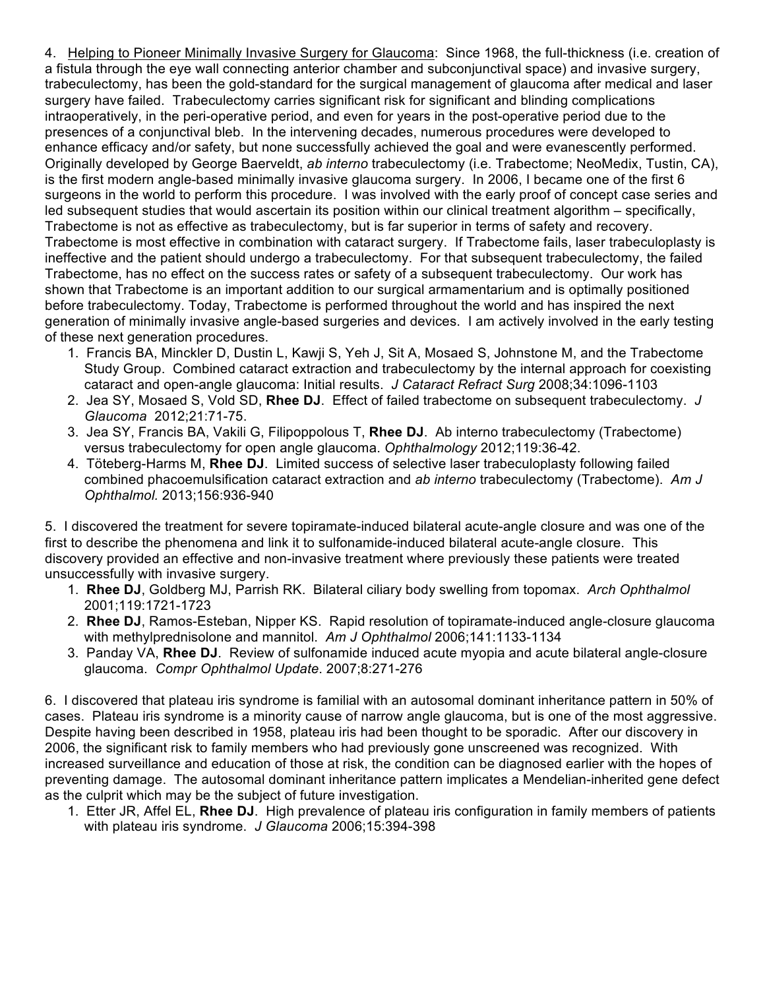4. Helping to Pioneer Minimally Invasive Surgery for Glaucoma: Since 1968, the full-thickness (i.e. creation of a fistula through the eye wall connecting anterior chamber and subconjunctival space) and invasive surgery, trabeculectomy, has been the gold-standard for the surgical management of glaucoma after medical and laser surgery have failed. Trabeculectomy carries significant risk for significant and blinding complications intraoperatively, in the peri-operative period, and even for years in the post-operative period due to the presences of a conjunctival bleb. In the intervening decades, numerous procedures were developed to enhance efficacy and/or safety, but none successfully achieved the goal and were evanescently performed. Originally developed by George Baerveldt, *ab interno* trabeculectomy (i.e. Trabectome; NeoMedix, Tustin, CA), is the first modern angle-based minimally invasive glaucoma surgery. In 2006, I became one of the first 6 surgeons in the world to perform this procedure. I was involved with the early proof of concept case series and led subsequent studies that would ascertain its position within our clinical treatment algorithm – specifically, Trabectome is not as effective as trabeculectomy, but is far superior in terms of safety and recovery. Trabectome is most effective in combination with cataract surgery. If Trabectome fails, laser trabeculoplasty is ineffective and the patient should undergo a trabeculectomy. For that subsequent trabeculectomy, the failed Trabectome, has no effect on the success rates or safety of a subsequent trabeculectomy. Our work has shown that Trabectome is an important addition to our surgical armamentarium and is optimally positioned before trabeculectomy. Today, Trabectome is performed throughout the world and has inspired the next generation of minimally invasive angle-based surgeries and devices. I am actively involved in the early testing of these next generation procedures.

- 1. Francis BA, Minckler D, Dustin L, Kawji S, Yeh J, Sit A, Mosaed S, Johnstone M, and the Trabectome Study Group. Combined cataract extraction and trabeculectomy by the internal approach for coexisting cataract and open-angle glaucoma: Initial results. *J Cataract Refract Surg* 2008;34:1096-1103
- 2. Jea SY, Mosaed S, Vold SD, **Rhee DJ**. Effect of failed trabectome on subsequent trabeculectomy. *J Glaucoma* 2012;21:71-75.
- 3. Jea SY, Francis BA, Vakili G, Filipoppolous T, **Rhee DJ**. Ab interno trabeculectomy (Trabectome) versus trabeculectomy for open angle glaucoma. *Ophthalmology* 2012;119:36-42.
- 4. Töteberg-Harms M, **Rhee DJ**. Limited success of selective laser trabeculoplasty following failed combined phacoemulsification cataract extraction and *ab interno* trabeculectomy (Trabectome). *Am J Ophthalmol.* 2013;156:936-940

5. I discovered the treatment for severe topiramate-induced bilateral acute-angle closure and was one of the first to describe the phenomena and link it to sulfonamide-induced bilateral acute-angle closure. This discovery provided an effective and non-invasive treatment where previously these patients were treated unsuccessfully with invasive surgery.

- 1. **Rhee DJ**, Goldberg MJ, Parrish RK. Bilateral ciliary body swelling from topomax. *Arch Ophthalmol* 2001;119:1721-1723
- 2. **Rhee DJ**, Ramos-Esteban, Nipper KS. Rapid resolution of topiramate-induced angle-closure glaucoma with methylprednisolone and mannitol. *Am J Ophthalmol* 2006;141:1133-1134
- 3. Panday VA, **Rhee DJ**. Review of sulfonamide induced acute myopia and acute bilateral angle-closure glaucoma. *Compr Ophthalmol Update*. 2007;8:271-276

6. I discovered that plateau iris syndrome is familial with an autosomal dominant inheritance pattern in 50% of cases. Plateau iris syndrome is a minority cause of narrow angle glaucoma, but is one of the most aggressive. Despite having been described in 1958, plateau iris had been thought to be sporadic. After our discovery in 2006, the significant risk to family members who had previously gone unscreened was recognized. With increased surveillance and education of those at risk, the condition can be diagnosed earlier with the hopes of preventing damage. The autosomal dominant inheritance pattern implicates a Mendelian-inherited gene defect as the culprit which may be the subject of future investigation.

1. Etter JR, Affel EL, **Rhee DJ**. High prevalence of plateau iris configuration in family members of patients with plateau iris syndrome. *J Glaucoma* 2006;15:394-398